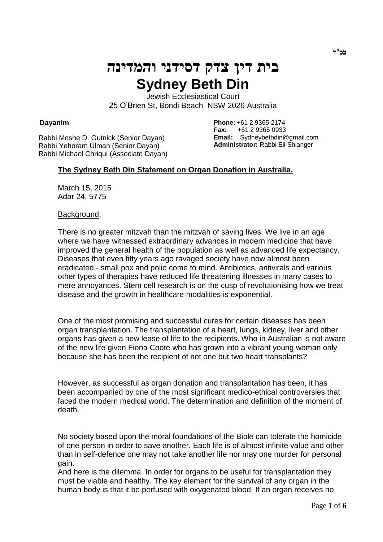# **בית דין צדק דסידני והמדינה Sydney Beth Din**

Jewish Ecclesiastical Court 25 O'Brien St, Bondi Beach NSW 2026 Australia

### **Dayanim**

Rabbi Moshe D. Gutnick (Senior Dayan) Rabbi Yehoram Ulman (Senior Dayan) Rabbi Michael Chriqui (Associate Dayan) **Phone:** +61 2 9365 2174 **Fax:** +61 2 9365 0933 **Email:** Sydneybethdin@gmail.com **Administrator:** Rabbi Eli Shlanger

# **The Sydney Beth Din Statement on Organ Donation in Australia.**

March 15, 2015 Adar 24, 5775

#### Background.

There is no greater mitzvah than the mitzvah of saving lives. We live in an age where we have witnessed extraordinary advances in modern medicine that have improved the general health of the population as well as advanced life expectancy. Diseases that even fifty years ago ravaged society have now almost been eradicated - small pox and polio come to mind. Antibiotics, antivirals and various other types of therapies have reduced life threatening illnesses in many cases to mere annoyances. Stem cell research is on the cusp of revolutionising how we treat disease and the growth in healthcare modalities is exponential.

One of the most promising and successful cures for certain diseases has been organ transplantation. The transplantation of a heart, lungs, kidney, liver and other organs has given a new lease of life to the recipients. Who in Australian is not aware of the new life given Fiona Coote who has grown into a vibrant young woman only because she has been the recipient of not one but two heart transplants?

However, as successful as organ donation and transplantation has been, it has been accompanied by one of the most significant medico-ethical controversies that faced the modern medical world. The determination and definition of the moment of death.

No society based upon the moral foundations of the Bible can tolerate the homicide of one person in order to save another. Each life is of almost infinite value and other than in self-defence one may not take another life nor may one murder for personal gain.

And here is the dilemma. In order for organs to be useful for transplantation they must be viable and healthy. The key element for the survival of any organ in the human body is that it be perfused with oxygenated blood. If an organ receives no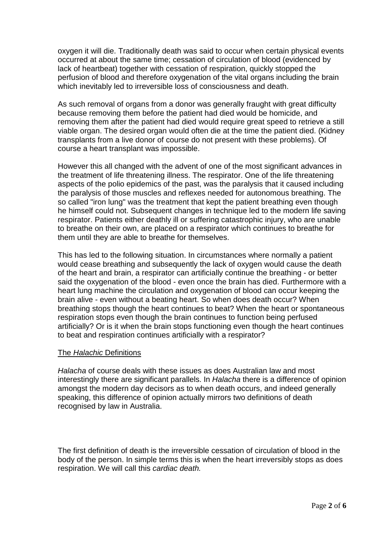oxygen it will die. Traditionally death was said to occur when certain physical events occurred at about the same time; cessation of circulation of blood (evidenced by lack of heartbeat) together with cessation of respiration, quickly stopped the perfusion of blood and therefore oxygenation of the vital organs including the brain which inevitably led to irreversible loss of consciousness and death.

As such removal of organs from a donor was generally fraught with great difficulty because removing them before the patient had died would be homicide, and removing them after the patient had died would require great speed to retrieve a still viable organ. The desired organ would often die at the time the patient died. (Kidney transplants from a live donor of course do not present with these problems). Of course a heart transplant was impossible.

However this all changed with the advent of one of the most significant advances in the treatment of life threatening illness. The respirator. One of the life threatening aspects of the polio epidemics of the past, was the paralysis that it caused including the paralysis of those muscles and reflexes needed for autonomous breathing. The so called "iron lung" was the treatment that kept the patient breathing even though he himself could not. Subsequent changes in technique led to the modern life saving respirator. Patients either deathly ill or suffering catastrophic injury, who are unable to breathe on their own, are placed on a respirator which continues to breathe for them until they are able to breathe for themselves.

This has led to the following situation. In circumstances where normally a patient would cease breathing and subsequently the lack of oxygen would cause the death of the heart and brain, a respirator can artificially continue the breathing - or better said the oxygenation of the blood - even once the brain has died. Furthermore with a heart lung machine the circulation and oxygenation of blood can occur keeping the brain alive - even without a beating heart. So when does death occur? When breathing stops though the heart continues to beat? When the heart or spontaneous respiration stops even though the brain continues to function being perfused artificially? Or is it when the brain stops functioning even though the heart continues to beat and respiration continues artificially with a respirator?

# The *Halachic* Definitions

*Halacha* of course deals with these issues as does Australian law and most interestingly there are significant parallels. In *Halacha* there is a difference of opinion amongst the modern day decisors as to when death occurs, and indeed generally speaking, this difference of opinion actually mirrors two definitions of death recognised by law in Australia.

The first definition of death is the irreversible cessation of circulation of blood in the body of the person. In simple terms this is when the heart irreversibly stops as does respiration. We will call this *cardiac death.*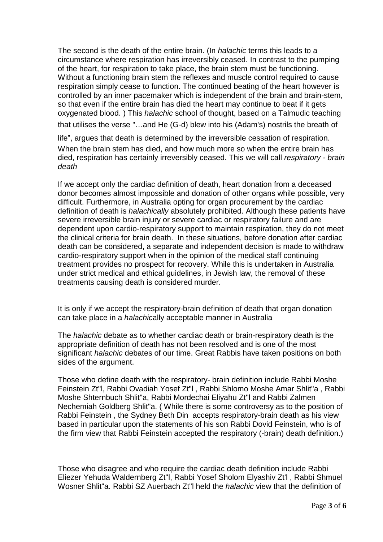The second is the death of the entire brain. (In *halachic* terms this leads to a circumstance where respiration has irreversibly ceased. In contrast to the pumping of the heart, for respiration to take place, the brain stem must be functioning. Without a functioning brain stem the reflexes and muscle control required to cause respiration simply cease to function. The continued beating of the heart however is controlled by an inner pacemaker which is independent of the brain and brain-stem, so that even if the entire brain has died the heart may continue to beat if it gets oxygenated blood. ) This *halachic* school of thought, based on a Talmudic teaching that utilises the verse "…and He (G-d) blew into his (Adam's) nostrils the breath of

life", argues that death is determined by the irreversible cessation of respiration. When the brain stem has died, and how much more so when the entire brain has died, respiration has certainly irreversibly ceased. This we will call *respiratory - brain death*

If we accept only the cardiac definition of death, heart donation from a deceased donor becomes almost impossible and donation of other organs while possible, very difficult. Furthermore, in Australia opting for organ procurement by the cardiac definition of death is *halachically* absolutely prohibited. Although these patients have severe irreversible brain injury or severe cardiac or respiratory failure and are dependent upon cardio-respiratory support to maintain respiration, they do not meet the clinical criteria for brain death. In these situations, before donation after cardiac death can be considered, a separate and independent decision is made to withdraw cardio-respiratory support when in the opinion of the medical staff continuing treatment provides no prospect for recovery. While this is undertaken in Australia under strict medical and ethical guidelines, in Jewish law, the removal of these treatments causing death is considered murder.

It is only if we accept the respiratory-brain definition of death that organ donation can take place in a *halachic*ally acceptable manner in Australia

The *halachic* debate as to whether cardiac death or brain-respiratory death is the appropriate definition of death has not been resolved and is one of the most significant *halachic* debates of our time. Great Rabbis have taken positions on both sides of the argument.

Those who define death with the respiratory- brain definition include Rabbi Moshe Feinstein Zt"l, Rabbi Ovadiah Yosef Zt"l , Rabbi Shlomo Moshe Amar Shlit"a , Rabbi Moshe Shternbuch Shlit"a, Rabbi Mordechai Eliyahu Zt"l and Rabbi Zalmen Nechemiah Goldberg Shlit"a. ( While there is some controversy as to the position of Rabbi Feinstein , the Sydney Beth Din accepts respiratory-brain death as his view based in particular upon the statements of his son Rabbi Dovid Feinstein, who is of the firm view that Rabbi Feinstein accepted the respiratory (-brain) death definition.)

Those who disagree and who require the cardiac death definition include Rabbi Eliezer Yehuda Waldernberg Zt"l, Rabbi Yosef Sholom Elyashiv Zt'l , Rabbi Shmuel Wosner Shlit"a. Rabbi SZ Auerbach Zt"l held the *halachic* view that the definition of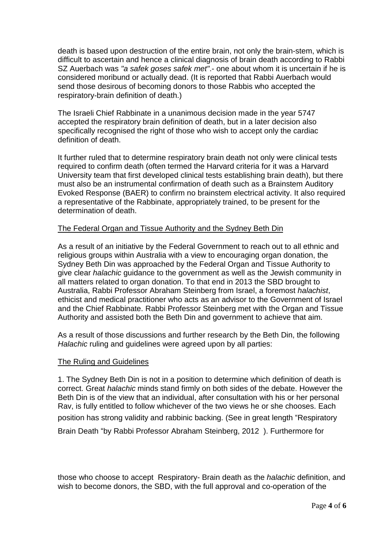death is based upon destruction of the entire brain, not only the brain-stem, which is difficult to ascertain and hence a clinical diagnosis of brain death according to Rabbi SZ Auerbach was *"a safek goses safek met"*.- one about whom it is uncertain if he is considered moribund or actually dead. (It is reported that Rabbi Auerbach would send those desirous of becoming donors to those Rabbis who accepted the respiratory-brain definition of death.)

The Israeli Chief Rabbinate in a unanimous decision made in the year 5747 accepted the respiratory brain definition of death, but in a later decision also specifically recognised the right of those who wish to accept only the cardiac definition of death.

It further ruled that to determine respiratory brain death not only were clinical tests required to confirm death (often termed the Harvard criteria for it was a Harvard University team that first developed clinical tests establishing brain death), but there must also be an instrumental confirmation of death such as a Brainstem Auditory Evoked Response (BAER) to confirm no brainstem electrical activity. It also required a representative of the Rabbinate, appropriately trained, to be present for the determination of death.

# The Federal Organ and Tissue Authority and the Sydney Beth Din

As a result of an initiative by the Federal Government to reach out to all ethnic and religious groups within Australia with a view to encouraging organ donation, the Sydney Beth Din was approached by the Federal Organ and Tissue Authority to give clear *halachic* guidance to the government as well as the Jewish community in all matters related to organ donation. To that end in 2013 the SBD brought to Australia, Rabbi Professor Abraham Steinberg from Israel, a foremost *halachist*, ethicist and medical practitioner who acts as an advisor to the Government of Israel and the Chief Rabbinate. Rabbi Professor Steinberg met with the Organ and Tissue Authority and assisted both the Beth Din and government to achieve that aim.

As a result of those discussions and further research by the Beth Din, the following *Halachic* ruling and guidelines were agreed upon by all parties:

### The Ruling and Guidelines

1. The Sydney Beth Din is not in a position to determine which definition of death is correct. Great *halachic* minds stand firmly on both sides of the debate. However the Beth Din is of the view that an individual, after consultation with his or her personal Rav, is fully entitled to follow whichever of the two views he or she chooses. Each position has strong validity and rabbinic backing. (See in great length "Respiratory

Brain Death "by Rabbi Professor Abraham Steinberg, 2012 ). Furthermore for

those who choose to accept Respiratory- Brain death as the *halachic* definition, and wish to become donors, the SBD, with the full approval and co-operation of the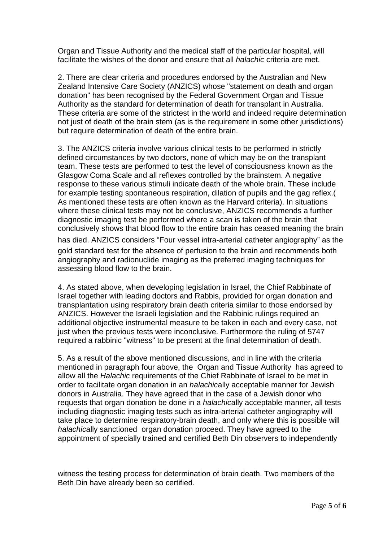Organ and Tissue Authority and the medical staff of the particular hospital, will facilitate the wishes of the donor and ensure that all *halachic* criteria are met.

2. There are clear criteria and procedures endorsed by the Australian and New Zealand Intensive Care Society (ANZICS) whose "statement on death and organ donation" has been recognised by the Federal Government Organ and Tissue Authority as the standard for determination of death for transplant in Australia. These criteria are some of the strictest in the world and indeed require determination not just of death of the brain stem (as is the requirement in some other jurisdictions) but require determination of death of the entire brain.

3. The ANZICS criteria involve various clinical tests to be performed in strictly defined circumstances by two doctors, none of which may be on the transplant team. These tests are performed to test the level of consciousness known as the Glasgow Coma Scale and all reflexes controlled by the brainstem. A negative response to these various stimuli indicate death of the whole brain. These include for example testing spontaneous respiration, dilation of pupils and the gag reflex.( As mentioned these tests are often known as the Harvard criteria). In situations where these clinical tests may not be conclusive, ANZICS recommends a further diagnostic imaging test be performed where a scan is taken of the brain that conclusively shows that blood flow to the entire brain has ceased meaning the brain has died. ANZICS considers "Four vessel intra-arterial catheter angiography" as the gold standard test for the absence of perfusion to the brain and recommends both angiography and radionuclide imaging as the preferred imaging techniques for assessing blood flow to the brain.

4. As stated above, when developing legislation in Israel, the Chief Rabbinate of Israel together with leading doctors and Rabbis, provided for organ donation and transplantation using respiratory brain death criteria similar to those endorsed by ANZICS. However the Israeli legislation and the Rabbinic rulings required an additional objective instrumental measure to be taken in each and every case, not just when the previous tests were inconclusive. Furthermore the ruling of 5747 required a rabbinic "witness" to be present at the final determination of death.

5. As a result of the above mentioned discussions, and in line with the criteria mentioned in paragraph four above, the Organ and Tissue Authority has agreed to allow all the *Halachic* requirements of the Chief Rabbinate of Israel to be met in order to facilitate organ donation in an *halachic*ally acceptable manner for Jewish donors in Australia. They have agreed that in the case of a Jewish donor who requests that organ donation be done in a *halachic*ally acceptable manner, all tests including diagnostic imaging tests such as intra-arterial catheter angiography will take place to determine respiratory-brain death, and only where this is possible will *halachic*ally sanctioned organ donation proceed. They have agreed to the appointment of specially trained and certified Beth Din observers to independently

witness the testing process for determination of brain death. Two members of the Beth Din have already been so certified.